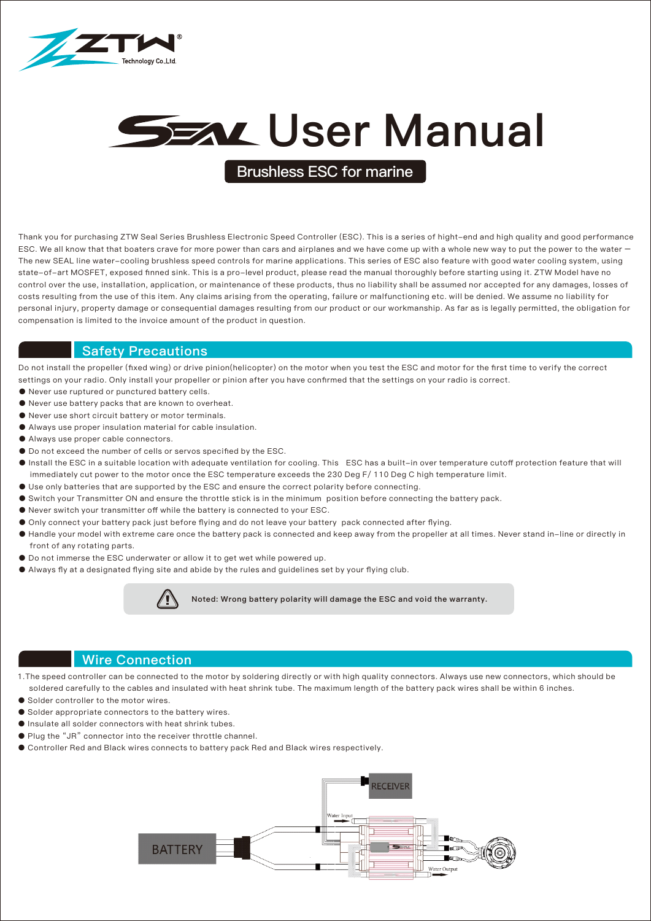

# **SEAL User Manual**

**Brushless ESC for marine**

Thank you for purchasing ZTW Seal Series Brushless Electronic Speed Controller (ESC). This is a series of hight-end and high quality and good performance ESC. We all know that that boaters crave for more power than cars and airplanes and we have come up with a whole new way to put the power to the water – The new SEAL line water-cooling brushless speed controls for marine applications. This series of ESC also feature with good water cooling system, using state-of-art MOSFET, exposed finned sink. This is a pro-level product, please read the manual thoroughly before starting using it. ZTW Model have no control over the use, installation, application, or maintenance of these products, thus no liability shall be assumed nor accepted for any damages, losses of costs resulting from the use of this item. Any claims arising from the operating, failure or malfunctioning etc. will be denied. We assume no liability for personal injury, property damage or consequential damages resulting from our product or our workmanship. As far as is legally permitted, the obligation for compensation is limited to the invoice amount of the product in question.

#### Safety Precautions

Do not install the propeller (fixed wing) or drive pinion(helicopter) on the motor when you test the ESC and motor for the first time to verify the correct settings on your radio. Only install your propeller or pinion after you have confirmed that the settings on your radio is correct.

- Never use ruptured or punctured battery cells.
- Never use battery packs that are known to overheat.
- Never use short circuit battery or motor terminals.
- Always use proper insulation material for cable insulation.
- Always use proper cable connectors.
- Do not exceed the number of cells or servos specified by the ESC.
- Install the ESC in a suitable location with adequate ventilation for cooling. This ESC has a built-in over temperature cutoff protection feature that will immediately cut power to the motor once the ESC temperature exceeds the 230 Deg F/ 110 Deg C high temperature limit.
- Use only batteries that are supported by the ESC and ensure the correct polarity before connecting.
- Switch your Transmitter ON and ensure the throttle stick is in the minimum position before connecting the battery pack.
- Never switch your transmitter off while the battery is connected to your ESC.
- Only connect your battery pack just before flying and do not leave your battery pack connected after flying.
- Handle your model with extreme care once the battery pack is connected and keep away from the propeller at all times. Never stand in-line or directly in front of any rotating parts.
- Do not immerse the ESC underwater or allow it to get wet while powered up.
- Always fly at a designated flying site and abide by the rules and guidelines set by your flying club.



Noted: Wrong battery polarity will damage the ESC and void the warranty.

#### Wire Connection

1.The speed controller can be connected to the motor by soldering directly or with high quality connectors. Always use new connectors, which should be soldered carefully to the cables and insulated with heat shrink tube. The maximum length of the battery pack wires shall be within 6 inches.

- Solder controller to the motor wires.
- Solder appropriate connectors to the battery wires.
- Insulate all solder connectors with heat shrink tubes.
- Plug the "JR" connector into the receiver throttle channel.
- Controller Red and Black wires connects to battery pack Red and Black wires respectively.

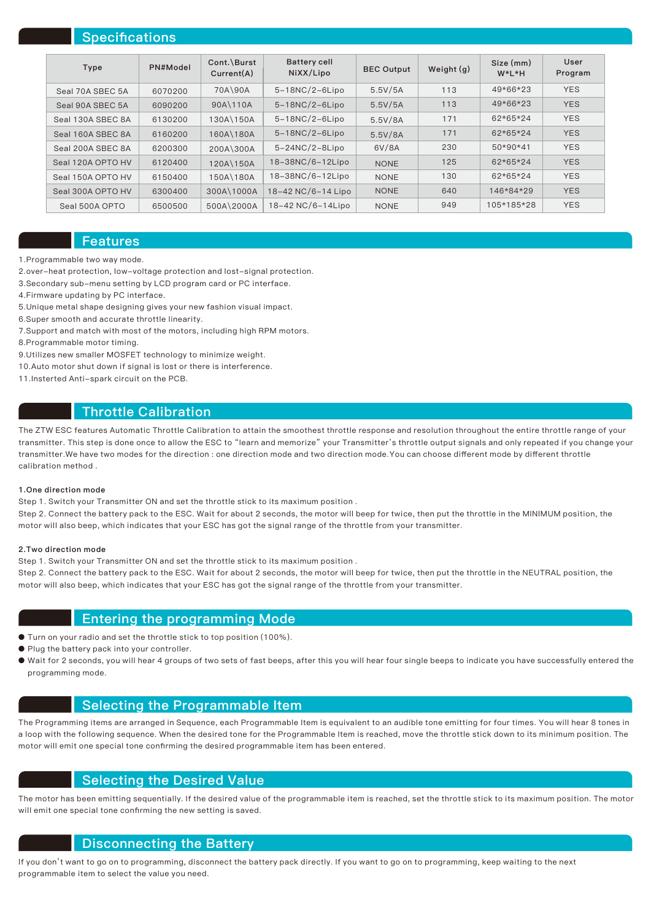## **Specifications**

| Type              | PN#Model | Cont.\Burst<br>Current(A) | <b>Battery cell</b><br>NiXX/Lipo | <b>BEC Output</b> | Weight $(q)$ | Size (mm)<br>$W^*L^*H$ | User<br>Program |
|-------------------|----------|---------------------------|----------------------------------|-------------------|--------------|------------------------|-----------------|
| Seal 70A SBEC 5A  | 6070200  | 70A\90A                   | $5-18NC/2-6Lipo$                 | 5.5V/5A           | 113          | 49*66*23               | <b>YES</b>      |
| Seal 90A SBEC 5A  | 6090200  | 90A\110A                  | $5-18NC/2-6Lipo$                 | 5.5V/5A           | 113          | 49*66*23               | <b>YES</b>      |
| Seal 130A SBEC 8A | 6130200  | 130A\150A                 | $5-18NC/2-6Lipo$                 | 5.5V/8A           | 171          | 62*65*24               | <b>YES</b>      |
| Seal 160A SBEC 8A | 6160200  | 160A\180A                 | $5-18NC/2-6Lipo$                 | 5.5V/8A           | 171          | 62*65*24               | <b>YES</b>      |
| Seal 200A SBEC 8A | 6200300  | 200A\300A                 | $5-24NC/2-8Lipo$                 | 6V/8A             | 230          | 50*90*41               | <b>YES</b>      |
| Seal 120A OPTO HV | 6120400  | 120A\150A                 | 18-38NC/6-12Lipo                 | <b>NONE</b>       | 125          | 62*65*24               | <b>YES</b>      |
| Seal 150A OPTO HV | 6150400  | 150A\180A                 | 18-38NC/6-12Lipo                 | <b>NONE</b>       | 130          | 62*65*24               | <b>YES</b>      |
| Seal 300A OPTO HV | 6300400  | 300A\1000A                | 18-42 NC/6-14 Lipo               | <b>NONE</b>       | 640          | 146*84*29              | <b>YES</b>      |
| Seal 500A OPTO    | 6500500  | 500A\2000A                | 18-42 NC/6-14Lipo                | <b>NONE</b>       | 949          | 105*185*28             | <b>YES</b>      |

#### Features

1.Programmable two way mode.

- 2.over-heat protection, low-voltage protection and lost-signal protection.
- 3.Secondary sub-menu setting by LCD program card or PC interface.
- 4.Firmware updating by PC interface.
- 5.Unique metal shape designing gives your new fashion visual impact.
- 6.Super smooth and accurate throttle linearity.
- 7.Support and match with most of the motors, including high RPM motors.
- 8.Programmable motor timing.
- 9.Utilizes new smaller MOSFET technology to minimize weight.
- 10.Auto motor shut down if signal is lost or there is interference.
- 11.Insterted Anti-spark circuit on the PCB.

## Throttle Calibration

The ZTW ESC features Automatic Throttle Calibration to attain the smoothest throttle response and resolution throughout the entire throttle range of your transmitter. This step is done once to allow the ESC to "learn and memorize" your Transmitter's throttle output signals and only repeated if you change your transmitter.We have two modes for the direction : one direction mode and two direction mode.You can choose different mode by different throttle calibration method .

#### 1.One direction mode

Step 1. Switch your Transmitter ON and set the throttle stick to its maximum position .

Step 2. Connect the battery pack to the ESC. Wait for about 2 seconds, the motor will beep for twice, then put the throttle in the MINIMUM position, the motor will also beep, which indicates that your ESC has got the signal range of the throttle from your transmitter.

#### 2.Two direction mode

Step 1. Switch your Transmitter ON and set the throttle stick to its maximum position .

Step 2. Connect the battery pack to the ESC. Wait for about 2 seconds, the motor will beep for twice, then put the throttle in the NEUTRAL position, the motor will also beep, which indicates that your ESC has got the signal range of the throttle from your transmitter.

#### Entering the programming Mode

- Turn on your radio and set the throttle stick to top position (100%).
- Plug the battery pack into your controller.
- Wait for 2 seconds, you will hear 4 groups of two sets of fast beeps, after this you will hear four single beeps to indicate you have successfully entered the programming mode.

#### Selecting the Programmable Item

The Programming items are arranged in Sequence, each Programmable Item is equivalent to an audible tone emitting for four times. You will hear 8 tones in a loop with the following sequence. When the desired tone for the Programmable Item is reached, move the throttle stick down to its minimum position. The motor will emit one special tone confirming the desired programmable item has been entered.

## Selecting the Desired Value

The motor has been emitting sequentially. If the desired value of the programmable item is reached, set the throttle stick to its maximum position. The motor will emit one special tone confirming the new setting is saved.

## Disconnecting the Battery

If you don't want to go on to programming, disconnect the battery pack directly. If you want to go on to programming, keep waiting to the next programmable item to select the value you need.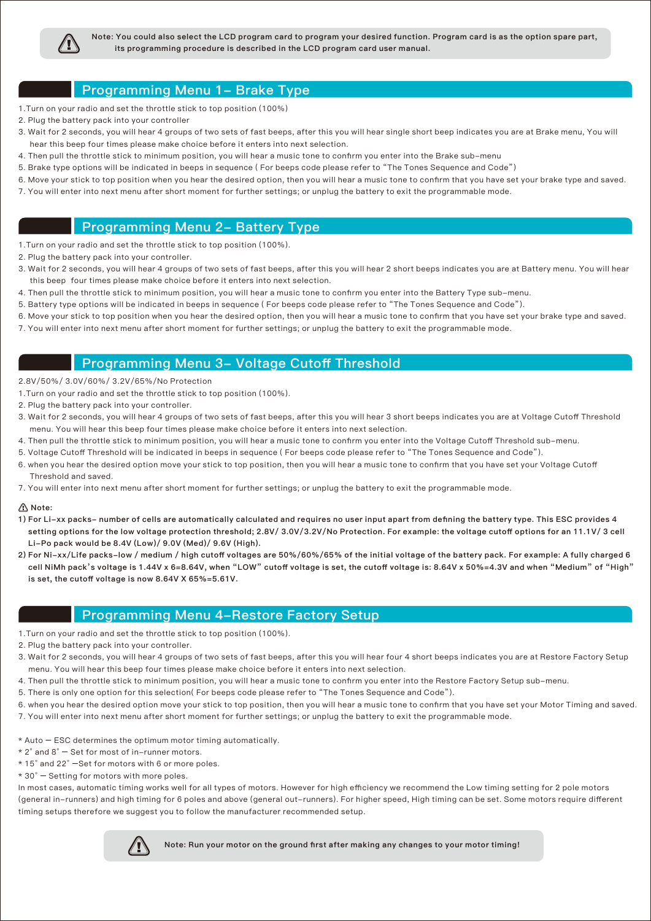

Note: You could also select the LCD program card to program your desired function. Program card is as the option spare part, its programming procedure is described in the LCD program card user manual.

## Programming Menu 1- Brake Type

- 1.Turn on your radio and set the throttle stick to top position (100%)
- 2. Plug the battery pack into your controller
- 3. Wait for 2 seconds, you will hear 4 groups of two sets of fast beeps, after this you will hear single short beep indicates you are at Brake menu, You will hear this beep four times please make choice before it enters into next selection.
- 4. Then pull the throttle stick to minimum position, you will hear a music tone to confirm you enter into the Brake sub-menu
- 5. Brake type options will be indicated in beeps in sequence ( For beeps code please refer to "The Tones Sequence and Code")
- 6. Move your stick to top position when you hear the desired option, then you will hear a music tone to confirm that you have set your brake type and saved.
- 7. You will enter into next menu after short moment for further settings; or unplug the battery to exit the programmable mode.

## Programming Menu 2- Battery Type

- 1.Turn on your radio and set the throttle stick to top position (100%).
- 2. Plug the battery pack into your controller.
- 3. Wait for 2 seconds, you will hear 4 groups of two sets of fast beeps, after this you will hear 2 short beeps indicates you are at Battery menu. You will hear this beep four times please make choice before it enters into next selection.
- 4. Then pull the throttle stick to minimum position, you will hear a music tone to confirm you enter into the Battery Type sub-menu.
- 5. Battery type options will be indicated in beeps in sequence ( For beeps code please refer to "The Tones Sequence and Code").
- 6. Move your stick to top position when you hear the desired option, then you will hear a music tone to confirm that you have set your brake type and saved.
- 7. You will enter into next menu after short moment for further settings; or unplug the battery to exit the programmable mode.

#### Programming Menu 3- Voltage Cutoff Threshold

- 2.8V/50%/ 3.0V/60%/ 3.2V/65%/No Protection
- 1.Turn on your radio and set the throttle stick to top position (100%).
- 2. Plug the battery pack into your controller.
- 3. Wait for 2 seconds, you will hear 4 groups of two sets of fast beeps, after this you will hear 3 short beeps indicates you are at Voltage Cutoff Threshold menu. You will hear this beep four times please make choice before it enters into next selection.
- 4. Then pull the throttle stick to minimum position, you will hear a music tone to confirm you enter into the Voltage Cutoff Threshold sub-menu.
- 5. Voltage Cutoff Threshold will be indicated in beeps in sequence ( For beeps code please refer to "The Tones Sequence and Code").
- 6. when you hear the desired option move your stick to top position, then you will hear a music tone to confirm that you have set your Voltage Cutoff Threshold and saved.
- 7. You will enter into next menu after short moment for further settings; or unplug the battery to exit the programmable mode.

#### $\Lambda$  Note:

- 1) For Li-xx packs- number of cells are automatically calculated and requires no user input apart from defining the battery type. This ESC provides 4 setting options for the low voltage protection threshold; 2.8V/ 3.0V/3.2V/No Protection. For example: the voltage cutoff options for an 11.1V/ 3 cell Li-Po pack would be 8.4V (Low)/ 9.0V (Med)/ 9.6V (High).
- 2) For Ni-xx/Life packs-low / medium / high cutoff voltages are 50%/60%/65% of the initial voltage of the battery pack. For example: A fully charged 6 cell NiMh pack's voltage is 1.44V x 6=8.64V, when "LOW" cutoff voltage is set, the cutoff voltage is: 8.64V x 50%=4.3V and when "Medium" of "High" is set, the cutoff voltage is now 8.64V X 65%=5.61V.

## Programming Menu 4-Restore Factory Setup

- 1.Turn on your radio and set the throttle stick to top position (100%).
- 2. Plug the battery pack into your controller.
- 3. Wait for 2 seconds, you will hear 4 groups of two sets of fast beeps, after this you will hear four 4 short beeps indicates you are at Restore Factory Setup menu. You will hear this beep four times please make choice before it enters into next selection.
- 4. Then pull the throttle stick to minimum position, you will hear a music tone to confirm you enter into the Restore Factory Setup sub-menu.
- 5. There is only one option for this selection( For beeps code please refer to "The Tones Sequence and Code").
- 6. when you hear the desired option move your stick to top position, then you will hear a music tone to confirm that you have set your Motor Timing and saved. 7. You will enter into next menu after short moment for further settings; or unplug the battery to exit the programmable mode.
- \* Auto ESC determines the optimum motor timing automatically.
- $* 2^{\circ}$  and  $8^{\circ}$  Set for most of in–runner motors.
- \* 15° and 22° –Set for motors with 6 or more poles.
- \* 30° Setting for motors with more poles.

In most cases, automatic timing works well for all types of motors. However for high efficiency we recommend the Low timing setting for 2 pole motors (general in-runners) and high timing for 6 poles and above (general out-runners). For higher speed, High timing can be set. Some motors require different timing setups therefore we suggest you to follow the manufacturer recommended setup.



Note: Run your motor on the ground first after making any changes to your motor timing!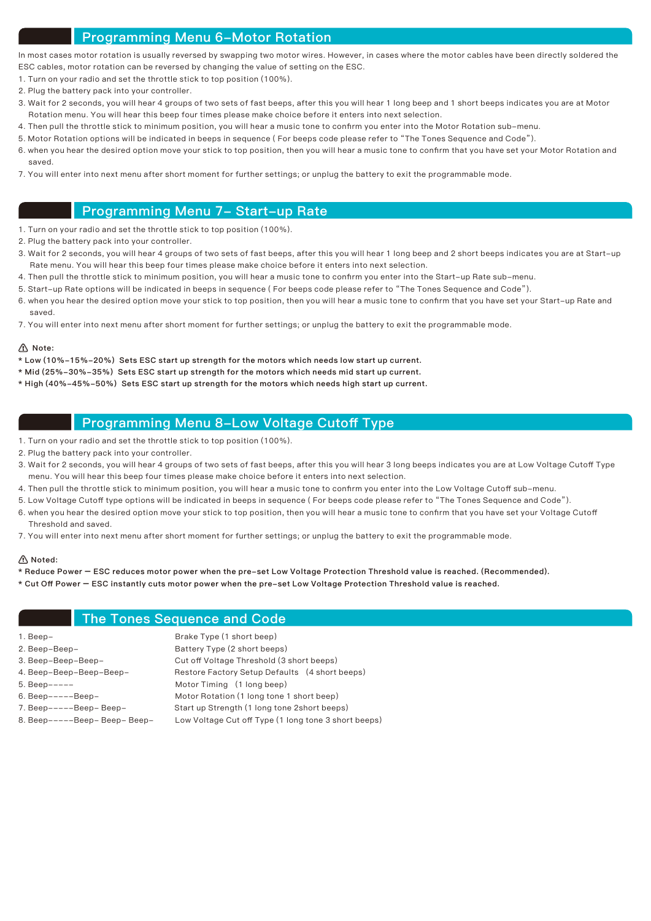## Programming Menu 6-Motor Rotation

In most cases motor rotation is usually reversed by swapping two motor wires. However, in cases where the motor cables have been directly soldered the ESC cables, motor rotation can be reversed by changing the value of setting on the ESC.

- 1. Turn on your radio and set the throttle stick to top position (100%).
- 2. Plug the battery pack into your controller.
- 3. Wait for 2 seconds, you will hear 4 groups of two sets of fast beeps, after this you will hear 1 long beep and 1 short beeps indicates you are at Motor Rotation menu. You will hear this beep four times please make choice before it enters into next selection.
- 4. Then pull the throttle stick to minimum position, you will hear a music tone to confirm you enter into the Motor Rotation sub-menu.
- 5. Motor Rotation options will be indicated in beeps in sequence ( For beeps code please refer to "The Tones Sequence and Code").
- 6. when you hear the desired option move your stick to top position, then you will hear a music tone to confirm that you have set your Motor Rotation and saved.
- 7. You will enter into next menu after short moment for further settings; or unplug the battery to exit the programmable mode.

## Programming Menu 7- Start-up Rate

- 1. Turn on your radio and set the throttle stick to top position (100%).
- 2. Plug the battery pack into your controller.
- 3. Wait for 2 seconds, you will hear 4 groups of two sets of fast beeps, after this you will hear 1 long beep and 2 short beeps indicates you are at Start-up Rate menu. You will hear this beep four times please make choice before it enters into next selection.
- 4. Then pull the throttle stick to minimum position, you will hear a music tone to confirm you enter into the Start-up Rate sub-menu.
- 5. Start-up Rate options will be indicated in beeps in sequence ( For beeps code please refer to "The Tones Sequence and Code").
- 6. when you hear the desired option move your stick to top position, then you will hear a music tone to confirm that you have set your Start-up Rate and saved.
- 7. You will enter into next menu after short moment for further settings; or unplug the battery to exit the programmable mode.

#### $\Lambda$  Note:

- \* Low (10%-15%-20%) Sets ESC start up strength for the motors which needs low start up current.
- \* Mid (25%-30%-35%) Sets ESC start up strength for the motors which needs mid start up current.
- \* High (40%-45%-50%) Sets ESC start up strength for the motors which needs high start up current.

## Programming Menu 8-Low Voltage Cutoff Type

- 1. Turn on your radio and set the throttle stick to top position (100%).
- 2. Plug the battery pack into your controller.
- 3. Wait for 2 seconds, you will hear 4 groups of two sets of fast beeps, after this you will hear 3 long beeps indicates you are at Low Voltage Cutoff Type menu. You will hear this beep four times please make choice before it enters into next selection.
- 4. Then pull the throttle stick to minimum position, you will hear a music tone to confirm you enter into the Low Voltage Cutoff sub-menu.
- 5. Low Voltage Cutoff type options will be indicated in beeps in sequence ( For beeps code please refer to "The Tones Sequence and Code").
- 6. when you hear the desired option move your stick to top position, then you will hear a music tone to confirm that you have set your Voltage Cutoff Threshold and saved.
- 7. You will enter into next menu after short moment for further settings; or unplug the battery to exit the programmable mode.

#### Noted:

- \* Reduce Power ESC reduces motor power when the pre-set Low Voltage Protection Threshold value is reached. (Recommended).
- \* Cut Off Power ESC instantly cuts motor power when the pre-set Low Voltage Protection Threshold value is reached.

#### The Tones Sequence and Code

| 1. Beep-                      | Brake Type (1 short beep)                            |
|-------------------------------|------------------------------------------------------|
| 2. Beep-Beep-                 | Battery Type (2 short beeps)                         |
| 3. Beep-Beep-Beep-            | Cut off Voltage Threshold (3 short beeps)            |
| 4. Beep-Beep-Beep-Beep-       | Restore Factory Setup Defaults (4 short beeps)       |
| $5. Beep---$                  | Motor Timing (1 long beep)                           |
| $6. Beep---Beep-$             | Motor Rotation (1 long tone 1 short beep)            |
| 7. Beep-----Beep- Beep-       | Start up Strength (1 long tone 2 short beeps)        |
| 8. Beep-----Beep- Beep- Beep- | Low Voltage Cut off Type (1 long tone 3 short beeps) |
|                               |                                                      |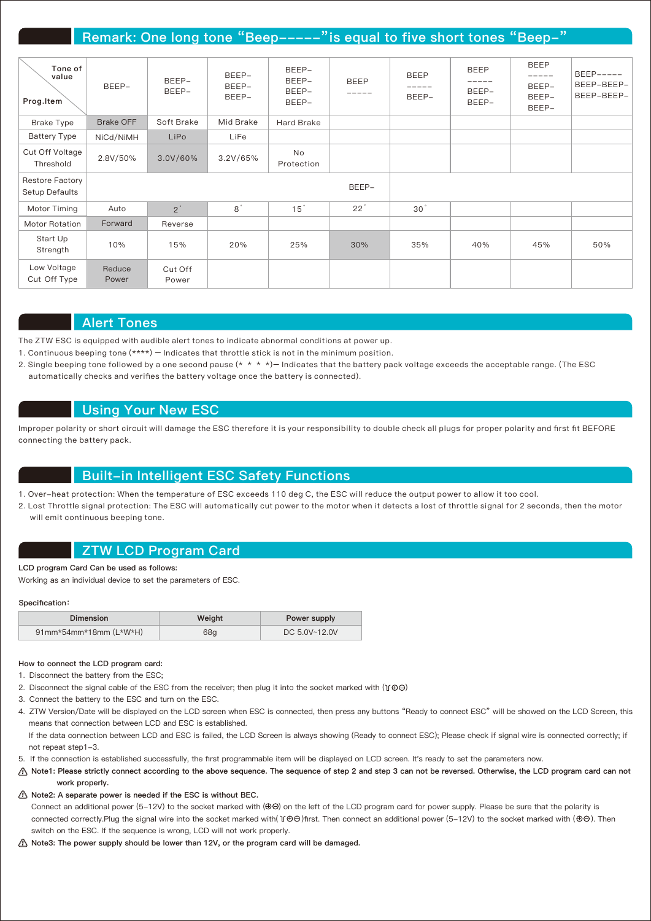## Remark: One long tone "Beep-----" is equal to five short tones "Beep-"

| Tone of<br>value<br>Prog.Item            | BEEP-            | BEEP-<br>BEEP-   | BEEP-<br>BEEP-<br>BEEP- | BEEP-<br>BEEP-<br>BEEP-<br>BEEP- | <b>BEEP</b><br>----- | <b>BEEP</b><br>BEEP- | <b>BEEP</b><br>BEEP-<br>BEEP- | <b>BEEP</b><br>-----<br>BEEP-<br>BEEP-<br>BEEP- | $BEEP---$<br>BEEP-BEEP-<br>BEEP-BEEP- |
|------------------------------------------|------------------|------------------|-------------------------|----------------------------------|----------------------|----------------------|-------------------------------|-------------------------------------------------|---------------------------------------|
| Brake Type                               | <b>Brake OFF</b> | Soft Brake       | Mid Brake               | Hard Brake                       |                      |                      |                               |                                                 |                                       |
| <b>Battery Type</b>                      | NiCd/NiMH        | LiPo             | LiFe                    |                                  |                      |                      |                               |                                                 |                                       |
| Cut Off Voltage<br>Threshold             | 2.8V/50%         | 3.0V/60%         | 3.2V/65%                | No<br>Protection                 |                      |                      |                               |                                                 |                                       |
| <b>Restore Factory</b><br>Setup Defaults |                  |                  |                         |                                  | BEEP-                |                      |                               |                                                 |                                       |
| Motor Timing                             | Auto             | 2 <sup>°</sup>   | 8 <sup>°</sup>          | 15 <sup>°</sup>                  | $22^{\degree}$       | 30 <sup>°</sup>      |                               |                                                 |                                       |
| Motor Rotation                           | Forward          | Reverse          |                         |                                  |                      |                      |                               |                                                 |                                       |
| Start Up<br>Strength                     | 10%              | 15%              | 20%                     | 25%                              | 30%                  | 35%                  | 40%                           | 45%                                             | 50%                                   |
| Low Voltage<br>Cut Off Type              | Reduce<br>Power  | Cut Off<br>Power |                         |                                  |                      |                      |                               |                                                 |                                       |

#### Alert Tones

The ZTW ESC is equipped with audible alert tones to indicate abnormal conditions at power up.

- 1. Continuous beeping tone (\*\*\*\*) Indicates that throttle stick is not in the minimum position.
- 2. Single beeping tone followed by a one second pause  $(* * * *)$  Indicates that the battery pack voltage exceeds the acceptable range. (The ESC automatically checks and verifies the battery voltage once the battery is connected).

#### Using Your New ESC

Improper polarity or short circuit will damage the ESC therefore it is your responsibility to double check all plugs for proper polarity and first fit BEFORE connecting the battery pack.

#### Built-in Intelligent ESC Safety Functions

1. Over-heat protection: When the temperature of ESC exceeds 110 deg C, the ESC will reduce the output power to allow it too cool.

2. Lost Throttle signal protection: The ESC will automatically cut power to the motor when it detects a lost of throttle signal for 2 seconds, then the motor will emit continuous beeping tone.

#### ZTW LCD Program Card

LCD program Card Can be used as follows:

Working as an individual device to set the parameters of ESC.

#### Specification:

| Dimension              | Weight | Power supply  |
|------------------------|--------|---------------|
| 91mm*54mm*18mm (L*W*H) | 68g    | DC 5.0V~12.0V |

#### How to connect the LCD program card:

- 1. Disconnect the battery from the ESC;
- 2. Disconnect the signal cable of the ESC from the receiver; then plug it into the socket marked with  $( \text{I} \oplus \odot )$
- 3. Connect the battery to the ESC and turn on the ESC.
- 4. ZTW Version/Date will be displayed on the LCD screen when ESC is connected, then press any buttons "Ready to connect ESC" will be showed on the LCD Screen, this means that connection between LCD and ESC is established.

If the data connection between LCD and ESC is failed, the LCD Screen is always showing (Ready to connect ESC); Please check if signal wire is connected correctly; if not repeat step1-3.

- 5. If the connection is established successfully, the first programmable item will be displayed on LCD screen. It's ready to set the parameters now.
- Note1: Please strictly connect according to the above sequence. The sequence of step 2 and step 3 can not be reversed. Otherwise, the LCD program card can not work properly.
- Note2: A separate power is needed if the ESC is without BEC.

Connect an additional power (5-12V) to the socket marked with  $(\Theta \Theta)$  on the left of the LCD program card for power supply. Please be sure that the polarity is connected correctly.Plug the signal wire into the socket marked with(  $\mathcal{V}\oplus\Theta$  )first. Then connect an additional power (5-12V) to the socket marked with ( $\oplus\Theta$ ). Then switch on the ESC. If the sequence is wrong, LCD will not work properly.

Note3: The power supply should be lower than 12V, or the program card will be damaged.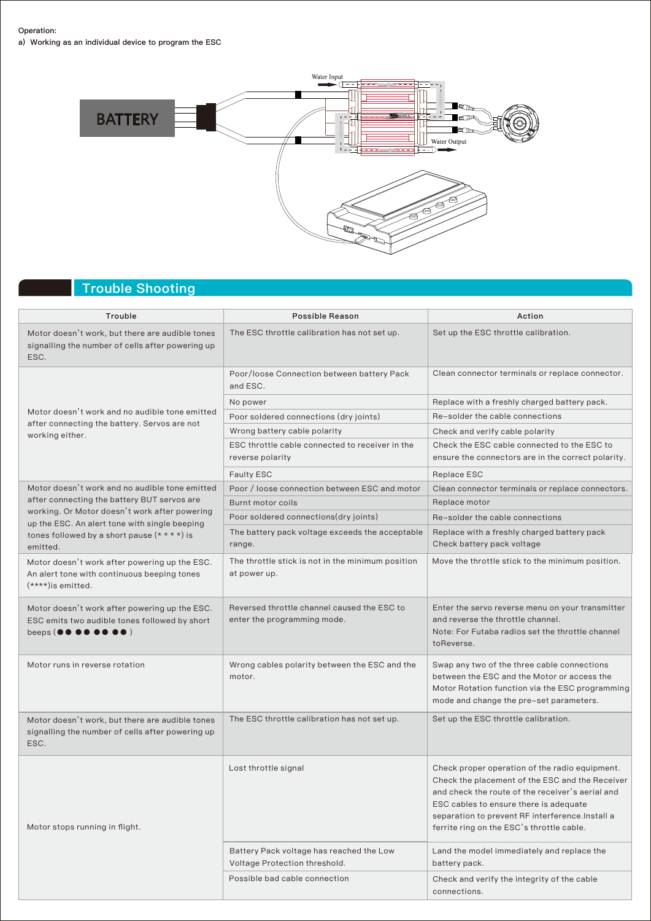#### Operation:

a) Working as an individual device to program the ESC



## Trouble Shooting

| Trouble                                                                                                                                                               | <b>Possible Reason</b>                                                     | Action                                                                                                                                                                                                                                                                                           |  |
|-----------------------------------------------------------------------------------------------------------------------------------------------------------------------|----------------------------------------------------------------------------|--------------------------------------------------------------------------------------------------------------------------------------------------------------------------------------------------------------------------------------------------------------------------------------------------|--|
| Motor doesn't work, but there are audible tones<br>signalling the number of cells after powering up<br>ESC.                                                           | The ESC throttle calibration has not set up.                               | Set up the ESC throttle calibration.                                                                                                                                                                                                                                                             |  |
|                                                                                                                                                                       | Poor/loose Connection between battery Pack<br>and ESC.                     | Clean connector terminals or replace connector.                                                                                                                                                                                                                                                  |  |
|                                                                                                                                                                       | No power                                                                   | Replace with a freshly charged battery pack.                                                                                                                                                                                                                                                     |  |
| Motor doesn't work and no audible tone emitted<br>after connecting the battery. Servos are not                                                                        | Poor soldered connections (dry joints)                                     | Re-solder the cable connections                                                                                                                                                                                                                                                                  |  |
| working either.                                                                                                                                                       | Wrong battery cable polarity                                               | Check and verify cable polarity                                                                                                                                                                                                                                                                  |  |
|                                                                                                                                                                       | ESC throttle cable connected to receiver in the<br>reverse polarity        | Check the ESC cable connected to the ESC to<br>ensure the connectors are in the correct polarity.                                                                                                                                                                                                |  |
|                                                                                                                                                                       | <b>Faulty ESC</b>                                                          | Replace ESC                                                                                                                                                                                                                                                                                      |  |
| Motor doesn't work and no audible tone emitted                                                                                                                        | Poor / loose connection between ESC and motor                              | Clean connector terminals or replace connectors.                                                                                                                                                                                                                                                 |  |
| after connecting the battery BUT servos are                                                                                                                           | Burnt motor coils                                                          | Replace motor                                                                                                                                                                                                                                                                                    |  |
| working. Or Motor doesn't work after powering<br>up the ESC. An alert tone with single beeping                                                                        | Poor soldered connections (dry joints)                                     | Re-solder the cable connections                                                                                                                                                                                                                                                                  |  |
| tones followed by a short pause $(* * * *)$ is<br>emitted.                                                                                                            | The battery pack voltage exceeds the acceptable<br>range.                  | Replace with a freshly charged battery pack<br>Check battery pack voltage                                                                                                                                                                                                                        |  |
| Motor doesn't work after powering up the ESC.<br>An alert tone with continuous beeping tones<br>$(****)$ is emitted.                                                  | The throttle stick is not in the minimum position<br>at power up.          | Move the throttle stick to the minimum position.                                                                                                                                                                                                                                                 |  |
| Motor doesn't work after powering up the ESC.<br>ESC emits two audible tones followed by short<br>beeps ( $\bullet \bullet \bullet \bullet \bullet \bullet \bullet$ ) | Reversed throttle channel caused the ESC to<br>enter the programming mode. | Enter the servo reverse menu on your transmitter<br>and reverse the throttle channel.<br>Note: For Futaba radios set the throttle channel<br>toReverse.                                                                                                                                          |  |
| Motor runs in reverse rotation                                                                                                                                        | Wrong cables polarity between the ESC and the<br>motor.                    | Swap any two of the three cable connections<br>between the ESC and the Motor or access the<br>Motor Rotation function via the ESC programming<br>mode and change the pre-set parameters.                                                                                                         |  |
| Motor doesn't work, but there are audible tones<br>signalling the number of cells after powering up<br>ESC.                                                           | The ESC throttle calibration has not set up.                               | Set up the ESC throttle calibration.                                                                                                                                                                                                                                                             |  |
| Motor stops running in flight.                                                                                                                                        | Lost throttle signal                                                       | Check proper operation of the radio equipment.<br>Check the placement of the ESC and the Receiver<br>and check the route of the receiver's aerial and<br>ESC cables to ensure there is adequate<br>separation to prevent RF interference. Install a<br>ferrite ring on the ESC's throttle cable. |  |
|                                                                                                                                                                       | Battery Pack voltage has reached the Low<br>Voltage Protection threshold.  | Land the model immediately and replace the<br>battery pack.                                                                                                                                                                                                                                      |  |
|                                                                                                                                                                       | Possible bad cable connection                                              | Check and verify the integrity of the cable<br>connections.                                                                                                                                                                                                                                      |  |